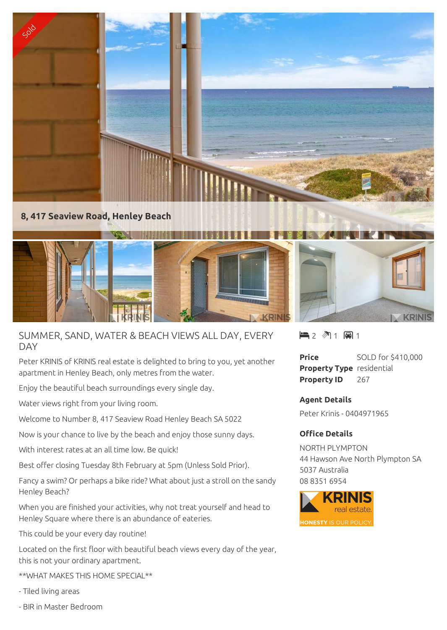

## SUMMER, SAND, WATER & BEACH VIEWS ALL DAY, EVERY DAY

Peter KRINIS of KRINIS real estate is delighted to bring to you, yet another apartment in Henley Beach, only metres from the water.

Enjoy the beautiful beach surroundings every single day.

Water views right from your living room.

Welcome to Number 8, 417 Seaview Road Henley Beach SA 5022

Now is your chance to live by the beach and enjoy those sunny days.

With interest rates at an all time low. Be quick!

Best offer closing Tuesday 8th February at 5pm (Unless Sold Prior).

Fancy a swim? Or perhaps a bike ride? What about just a stroll on the sandy Henley Beach?

When you are finished your activities, why not treat yourself and head to Henley Square where there is an abundance of eateries.

This could be your every day routine!

Located on the first floor with beautiful beach views every day of the year, this is not your ordinary apartment.

\*\*WHAT MAKES THIS HOME SPECIAL\*\*

- Tiled living areas
- BIR in Master Bedroom

 $\blacksquare$  2  $\spadesuit$  1  $\blacksquare$  1

**Price** SOLD for \$410,000 **Property Type** residential **Property ID** 267

**KRINE** 

**Agent Details** Peter Krinis - 0404971965

## **Office Details**

NORTH PLYMPTON 44 Hawson Ave North Plympton SA 5037 Australia 08 8351 6954